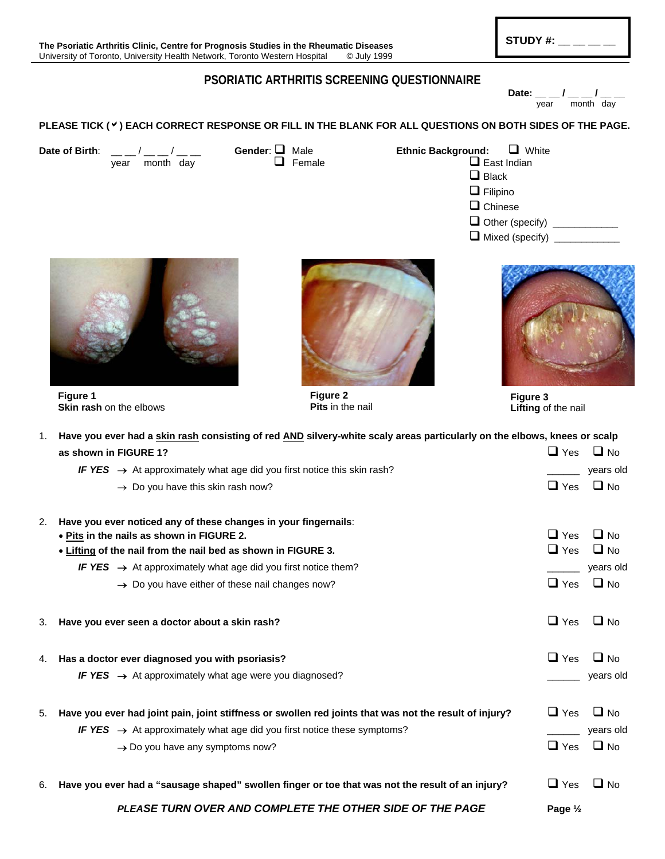## **PSORIATIC ARTHRITIS SCREENING QUESTIONNAIRE**

Date:  $\frac{1}{\text{year}}$  / month day

**PLEASE TICK (**b**) EACH CORRECT RESPONSE OR FILL IN THE BLANK FOR ALL QUESTIONS ON BOTH SIDES OF THE PAGE.** 

**Date of Birth**: \_\_ \_ / \_\_ \_ / \_\_ \_ Gender: ■ Male **Ethnic Background:** ■ White  $\Box$  Female  $\Box$  Female  $\Box$  East Indian  $\Box$  Black  $\Box$  Filipino  $\Box$  Chinese

**Other (specify)** \_\_\_\_\_\_\_\_\_\_\_\_ Mixed (specify) \_\_\_\_\_\_\_\_\_\_\_\_



 **Figure 1 Skin rash** on the elbows



**Figure 2 Pits** in the nail



**Figure 3 Lifting** of the nail

| 1. | Have you ever had a skin rash consisting of red AND silvery-white scaly areas particularly on the elbows, knees or scalp |                      |           |  |  |  |  |
|----|--------------------------------------------------------------------------------------------------------------------------|----------------------|-----------|--|--|--|--|
|    | as shown in FIGURE 1?                                                                                                    | $\Box$ Yes $\Box$ No |           |  |  |  |  |
|    | IF YES $\rightarrow$ At approximately what age did you first notice this skin rash?                                      |                      | years old |  |  |  |  |
|    | $\rightarrow$ Do you have this skin rash now?                                                                            | $\Box$ Yes           | $\Box$ No |  |  |  |  |
| 2. | Have you ever noticed any of these changes in your fingernails:                                                          |                      |           |  |  |  |  |
|    | . Pits in the nails as shown in FIGURE 2.                                                                                | $\Box$ Yes           | $\Box$ No |  |  |  |  |
|    | . Lifting of the nail from the nail bed as shown in FIGURE 3.                                                            | $\Box$ Yes           | $\Box$ No |  |  |  |  |
|    | IF YES $\rightarrow$ At approximately what age did you first notice them?                                                |                      | years old |  |  |  |  |
|    | $\rightarrow$ Do you have either of these nail changes now?                                                              | $\Box$ Yes           | $\Box$ No |  |  |  |  |
| 3. | Have you ever seen a doctor about a skin rash?                                                                           | $\Box$ Yes           | $\Box$ No |  |  |  |  |
|    | 4. Has a doctor ever diagnosed you with psoriasis?                                                                       | $\Box$ Yes           | $\Box$ No |  |  |  |  |
|    | IF YES $\rightarrow$ At approximately what age were you diagnosed?                                                       |                      | years old |  |  |  |  |
| 5. | Have you ever had joint pain, joint stiffness or swollen red joints that was not the result of injury?                   | $\sqcup$ Yes         | $\Box$ No |  |  |  |  |
|    | IF YES $\rightarrow$ At approximately what age did you first notice these symptoms?                                      |                      | years old |  |  |  |  |
|    | $\rightarrow$ Do you have any symptoms now?                                                                              | $\sqcup$ Yes         | $\Box$ No |  |  |  |  |
| 6. | Have you ever had a "sausage shaped" swollen finger or toe that was not the result of an injury?                         | $\sqcup$ Yes         | $\Box$ No |  |  |  |  |
|    | <b>DI EASE THEM OVED AND COMBLETE THE OTHED SIDE OF THE BACE</b>                                                         | $D \sim \sim 1/$     |           |  |  |  |  |

*PLEASE TURN OVER AND COMPLETE THE OTHER SIDE OF THE PAGE* Page 1/2